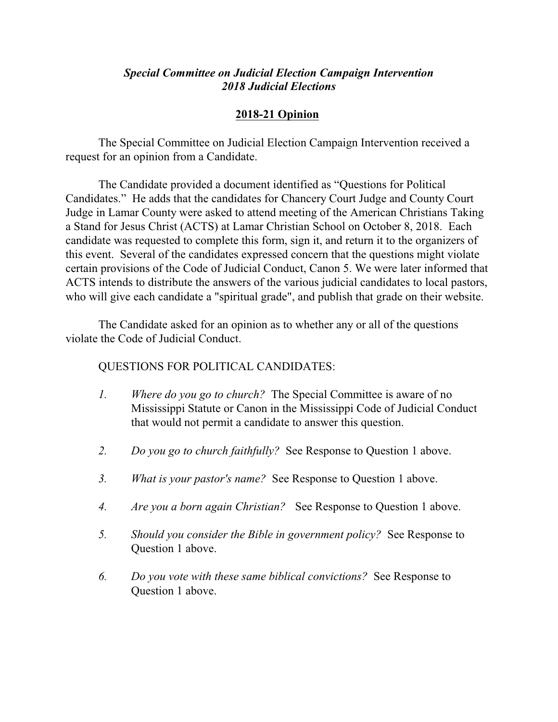## *Special Committee on Judicial Election Campaign Intervention 2018 Judicial Elections*

## **2018-21 Opinion**

The Special Committee on Judicial Election Campaign Intervention received a request for an opinion from a Candidate.

The Candidate provided a document identified as "Questions for Political Candidates." He adds that the candidates for Chancery Court Judge and County Court Judge in Lamar County were asked to attend meeting of the American Christians Taking a Stand for Jesus Christ (ACTS) at Lamar Christian School on October 8, 2018. Each candidate was requested to complete this form, sign it, and return it to the organizers of this event. Several of the candidates expressed concern that the questions might violate certain provisions of the Code of Judicial Conduct, Canon 5. We were later informed that ACTS intends to distribute the answers of the various judicial candidates to local pastors, who will give each candidate a "spiritual grade", and publish that grade on their website.

The Candidate asked for an opinion as to whether any or all of the questions violate the Code of Judicial Conduct.

## QUESTIONS FOR POLITICAL CANDIDATES:

- *1. Where do you go to church?* The Special Committee is aware of no Mississippi Statute or Canon in the Mississippi Code of Judicial Conduct that would not permit a candidate to answer this question.
- *2. Do you go to church faithfully?* See Response to Question 1 above.
- *3. What is your pastor's name?* See Response to Question 1 above.
- *4. Are you a born again Christian?* See Response to Question 1 above.
- *5. Should you consider the Bible in government policy?* See Response to Question 1 above.
- *6. Do you vote with these same biblical convictions?* See Response to Question 1 above.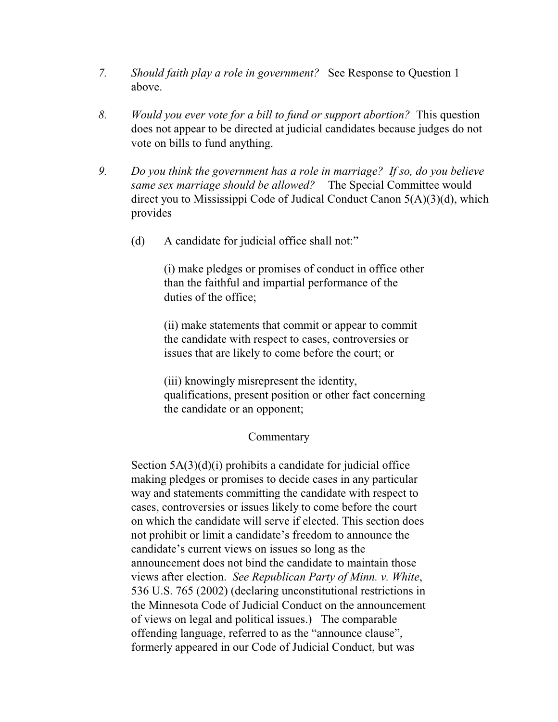- *7. Should faith play a role in government?* See Response to Question 1 above.
- *8. Would you ever vote for a bill to fund or support abortion?* This question does not appear to be directed at judicial candidates because judges do not vote on bills to fund anything.
- *9. Do you think the government has a role in marriage? If so, do you believe same sex marriage should be allowed?* The Special Committee would direct you to Mississippi Code of Judical Conduct Canon 5(A)(3)(d), which provides
	- (d) A candidate for judicial office shall not:"

(i) make pledges or promises of conduct in office other than the faithful and impartial performance of the duties of the office;

(ii) make statements that commit or appear to commit the candidate with respect to cases, controversies or issues that are likely to come before the court; or

(iii) knowingly misrepresent the identity, qualifications, present position or other fact concerning the candidate or an opponent;

## Commentary

Section 5A(3)(d)(i) prohibits a candidate for judicial office making pledges or promises to decide cases in any particular way and statements committing the candidate with respect to cases, controversies or issues likely to come before the court on which the candidate will serve if elected. This section does not prohibit or limit a candidate's freedom to announce the candidate's current views on issues so long as the announcement does not bind the candidate to maintain those views after election. *See Republican Party of Minn. v. White*, 536 U.S. 765 (2002) (declaring unconstitutional restrictions in the Minnesota Code of Judicial Conduct on the announcement of views on legal and political issues.) The comparable offending language, referred to as the "announce clause", formerly appeared in our Code of Judicial Conduct, but was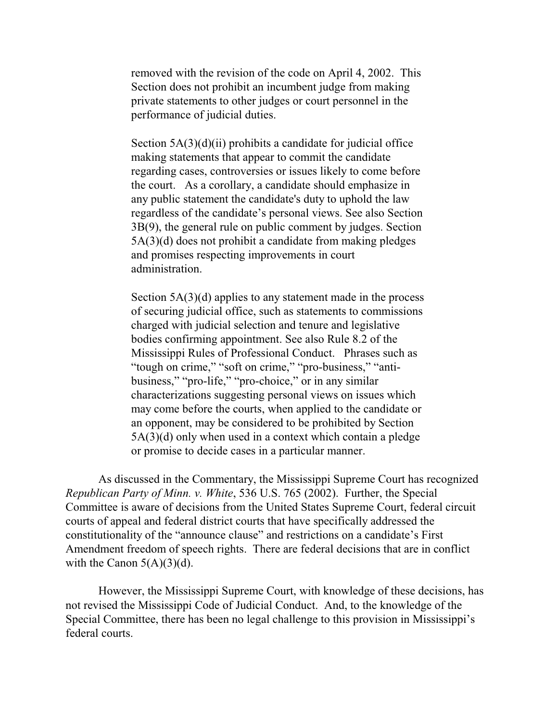removed with the revision of the code on April 4, 2002. This Section does not prohibit an incumbent judge from making private statements to other judges or court personnel in the performance of judicial duties.

Section 5A(3)(d)(ii) prohibits a candidate for judicial office making statements that appear to commit the candidate regarding cases, controversies or issues likely to come before the court. As a corollary, a candidate should emphasize in any public statement the candidate's duty to uphold the law regardless of the candidate's personal views. See also Section 3B(9), the general rule on public comment by judges. Section 5A(3)(d) does not prohibit a candidate from making pledges and promises respecting improvements in court administration.

Section 5A(3)(d) applies to any statement made in the process of securing judicial office, such as statements to commissions charged with judicial selection and tenure and legislative bodies confirming appointment. See also Rule 8.2 of the Mississippi Rules of Professional Conduct. Phrases such as "tough on crime," "soft on crime," "pro-business," "antibusiness," "pro-life," "pro-choice," or in any similar characterizations suggesting personal views on issues which may come before the courts, when applied to the candidate or an opponent, may be considered to be prohibited by Section 5A(3)(d) only when used in a context which contain a pledge or promise to decide cases in a particular manner.

As discussed in the Commentary, the Mississippi Supreme Court has recognized *Republican Party of Minn. v. White*, 536 U.S. 765 (2002). Further, the Special Committee is aware of decisions from the United States Supreme Court, federal circuit courts of appeal and federal district courts that have specifically addressed the constitutionality of the "announce clause" and restrictions on a candidate's First Amendment freedom of speech rights. There are federal decisions that are in conflict with the Canon  $5(A)(3)(d)$ .

However, the Mississippi Supreme Court, with knowledge of these decisions, has not revised the Mississippi Code of Judicial Conduct. And, to the knowledge of the Special Committee, there has been no legal challenge to this provision in Mississippi's federal courts.